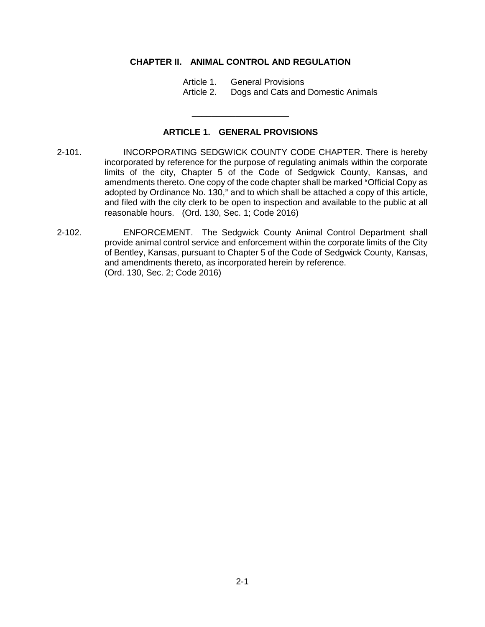## **CHAPTER II. ANIMAL CONTROL AND REGULATION**

- Article 1. General Provisions
- Article 2. Dogs and Cats and Domestic Animals

## **ARTICLE 1. GENERAL PROVISIONS**

\_\_\_\_\_\_\_\_\_\_\_\_\_\_\_\_\_\_\_\_

- 2-101. INCORPORATING SEDGWICK COUNTY CODE CHAPTER. There is hereby incorporated by reference for the purpose of regulating animals within the corporate limits of the city, Chapter 5 of the Code of Sedgwick County, Kansas, and amendments thereto. One copy of the code chapter shall be marked "Official Copy as adopted by Ordinance No. 130," and to which shall be attached a copy of this article, and filed with the city clerk to be open to inspection and available to the public at all reasonable hours. (Ord. 130, Sec. 1; Code 2016)
- 2-102. ENFORCEMENT. The Sedgwick County Animal Control Department shall provide animal control service and enforcement within the corporate limits of the City of Bentley, Kansas, pursuant to Chapter 5 of the Code of Sedgwick County, Kansas, and amendments thereto, as incorporated herein by reference. (Ord. 130, Sec. 2; Code 2016)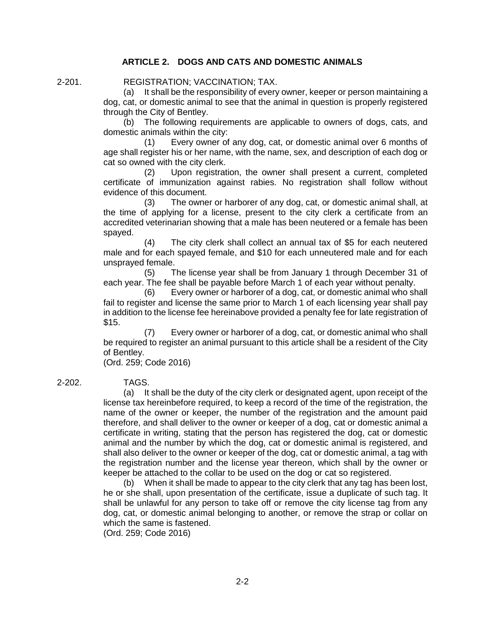## **ARTICLE 2. DOGS AND CATS AND DOMESTIC ANIMALS**

2-201. REGISTRATION; VACCINATION; TAX.

(a) It shall be the responsibility of every owner, keeper or person maintaining a dog, cat, or domestic animal to see that the animal in question is properly registered through the City of Bentley.

(b) The following requirements are applicable to owners of dogs, cats, and domestic animals within the city:

(1) Every owner of any dog, cat, or domestic animal over 6 months of age shall register his or her name, with the name, sex, and description of each dog or cat so owned with the city clerk.

(2) Upon registration, the owner shall present a current, completed certificate of immunization against rabies. No registration shall follow without evidence of this document.

(3) The owner or harborer of any dog, cat, or domestic animal shall, at the time of applying for a license, present to the city clerk a certificate from an accredited veterinarian showing that a male has been neutered or a female has been spayed.

(4) The city clerk shall collect an annual tax of \$5 for each neutered male and for each spayed female, and \$10 for each unneutered male and for each unsprayed female.

(5) The license year shall be from January 1 through December 31 of each year. The fee shall be payable before March 1 of each year without penalty.

(6) Every owner or harborer of a dog, cat, or domestic animal who shall fail to register and license the same prior to March 1 of each licensing year shall pay in addition to the license fee hereinabove provided a penalty fee for late registration of \$15.

(7) Every owner or harborer of a dog, cat, or domestic animal who shall be required to register an animal pursuant to this article shall be a resident of the City of Bentley.

(Ord. 259; Code 2016)

2-202. TAGS.

(a) It shall be the duty of the city clerk or designated agent, upon receipt of the license tax hereinbefore required, to keep a record of the time of the registration, the name of the owner or keeper, the number of the registration and the amount paid therefore, and shall deliver to the owner or keeper of a dog, cat or domestic animal a certificate in writing, stating that the person has registered the dog, cat or domestic animal and the number by which the dog, cat or domestic animal is registered, and shall also deliver to the owner or keeper of the dog, cat or domestic animal, a tag with the registration number and the license year thereon, which shall by the owner or keeper be attached to the collar to be used on the dog or cat so registered.

(b) When it shall be made to appear to the city clerk that any tag has been lost, he or she shall, upon presentation of the certificate, issue a duplicate of such tag. It shall be unlawful for any person to take off or remove the city license tag from any dog, cat, or domestic animal belonging to another, or remove the strap or collar on which the same is fastened.

(Ord. 259; Code 2016)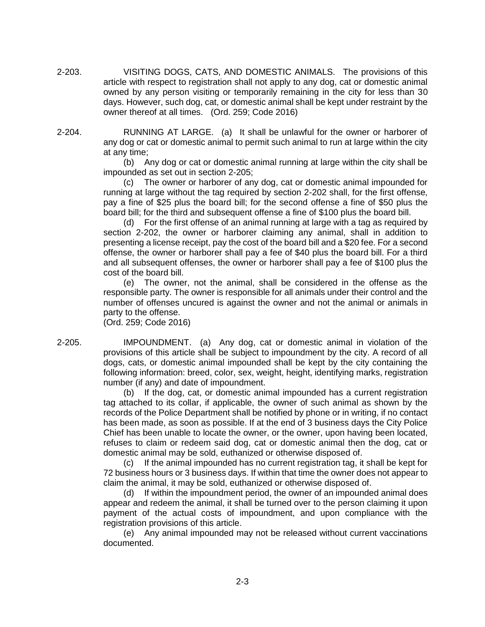2-203. VISITING DOGS, CATS, AND DOMESTIC ANIMALS. The provisions of this article with respect to registration shall not apply to any dog, cat or domestic animal owned by any person visiting or temporarily remaining in the city for less than 30 days. However, such dog, cat, or domestic animal shall be kept under restraint by the owner thereof at all times. (Ord. 259; Code 2016)

2-204. RUNNING AT LARGE. (a) It shall be unlawful for the owner or harborer of any dog or cat or domestic animal to permit such animal to run at large within the city at any time;

> (b) Any dog or cat or domestic animal running at large within the city shall be impounded as set out in section 2-205;

> (c) The owner or harborer of any dog, cat or domestic animal impounded for running at large without the tag required by section 2-202 shall, for the first offense, pay a fine of \$25 plus the board bill; for the second offense a fine of \$50 plus the board bill; for the third and subsequent offense a fine of \$100 plus the board bill.

> (d) For the first offense of an animal running at large with a tag as required by section 2-202, the owner or harborer claiming any animal, shall in addition to presenting a license receipt, pay the cost of the board bill and a \$20 fee. For a second offense, the owner or harborer shall pay a fee of \$40 plus the board bill. For a third and all subsequent offenses, the owner or harborer shall pay a fee of \$100 plus the cost of the board bill.

> (e) The owner, not the animal, shall be considered in the offense as the responsible party. The owner is responsible for all animals under their control and the number of offenses uncured is against the owner and not the animal or animals in party to the offense.

(Ord. 259; Code 2016)

2-205. IMPOUNDMENT. (a) Any dog, cat or domestic animal in violation of the provisions of this article shall be subject to impoundment by the city. A record of all dogs, cats, or domestic animal impounded shall be kept by the city containing the following information: breed, color, sex, weight, height, identifying marks, registration number (if any) and date of impoundment.

(b) If the dog, cat, or domestic animal impounded has a current registration tag attached to its collar, if applicable, the owner of such animal as shown by the records of the Police Department shall be notified by phone or in writing, if no contact has been made, as soon as possible. If at the end of 3 business days the City Police Chief has been unable to locate the owner, or the owner, upon having been located, refuses to claim or redeem said dog, cat or domestic animal then the dog, cat or domestic animal may be sold, euthanized or otherwise disposed of.

(c) If the animal impounded has no current registration tag, it shall be kept for 72 business hours or 3 business days. If within that time the owner does not appear to claim the animal, it may be sold, euthanized or otherwise disposed of.

(d) If within the impoundment period, the owner of an impounded animal does appear and redeem the animal, it shall be turned over to the person claiming it upon payment of the actual costs of impoundment, and upon compliance with the registration provisions of this article.

(e) Any animal impounded may not be released without current vaccinations documented.